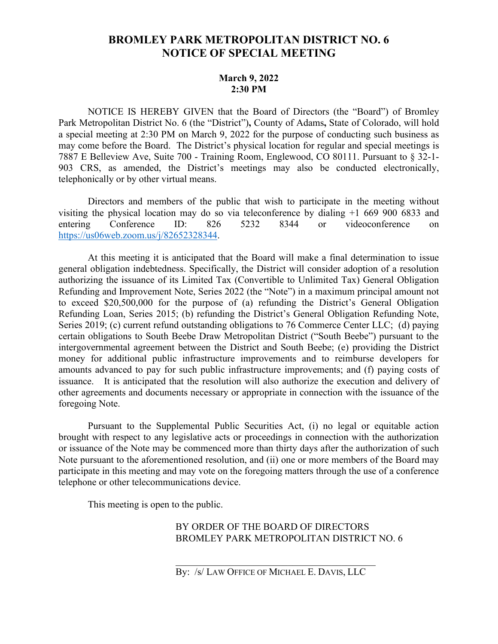## **BROMLEY PARK METROPOLITAN DISTRICT NO. 6 NOTICE OF SPECIAL MEETING**

## **March 9, 2022 2:30 PM**

NOTICE IS HEREBY GIVEN that the Board of Directors (the "Board") of Bromley Park Metropolitan District No. 6 (the "District")**,** County of Adams**,** State of Colorado, will hold a special meeting at 2:30 PM on March 9, 2022 for the purpose of conducting such business as may come before the Board. The District's physical location for regular and special meetings is 7887 E Belleview Ave, Suite 700 - Training Room, Englewood, CO 80111. Pursuant to § 32-1- 903 CRS, as amended, the District's meetings may also be conducted electronically, telephonically or by other virtual means.

Directors and members of the public that wish to participate in the meeting without visiting the physical location may do so via teleconference by dialing +1 669 900 6833 and entering Conference ID: 826 5232 8344 or videoconference on [https://us06web.zoom.us/j/82652328344.](https://us06web.zoom.us/j/82652328344)

At this meeting it is anticipated that the Board will make a final determination to issue general obligation indebtedness. Specifically, the District will consider adoption of a resolution authorizing the issuance of its Limited Tax (Convertible to Unlimited Tax) General Obligation Refunding and Improvement Note, Series 2022 (the "Note") in a maximum principal amount not to exceed \$20,500,000 for the purpose of (a) refunding the District's General Obligation Refunding Loan, Series 2015; (b) refunding the District's General Obligation Refunding Note, Series 2019; (c) current refund outstanding obligations to 76 Commerce Center LLC; (d) paying certain obligations to South Beebe Draw Metropolitan District ("South Beebe") pursuant to the intergovernmental agreement between the District and South Beebe; (e) providing the District money for additional public infrastructure improvements and to reimburse developers for amounts advanced to pay for such public infrastructure improvements; and (f) paying costs of issuance. It is anticipated that the resolution will also authorize the execution and delivery of other agreements and documents necessary or appropriate in connection with the issuance of the foregoing Note.

Pursuant to the Supplemental Public Securities Act, (i) no legal or equitable action brought with respect to any legislative acts or proceedings in connection with the authorization or issuance of the Note may be commenced more than thirty days after the authorization of such Note pursuant to the aforementioned resolution, and (ii) one or more members of the Board may participate in this meeting and may vote on the foregoing matters through the use of a conference telephone or other telecommunications device.

This meeting is open to the public.

## BY ORDER OF THE BOARD OF DIRECTORS BROMLEY PARK METROPOLITAN DISTRICT NO. 6

By: /s/ LAW OFFICE OF MICHAEL E. DAVIS, LLC